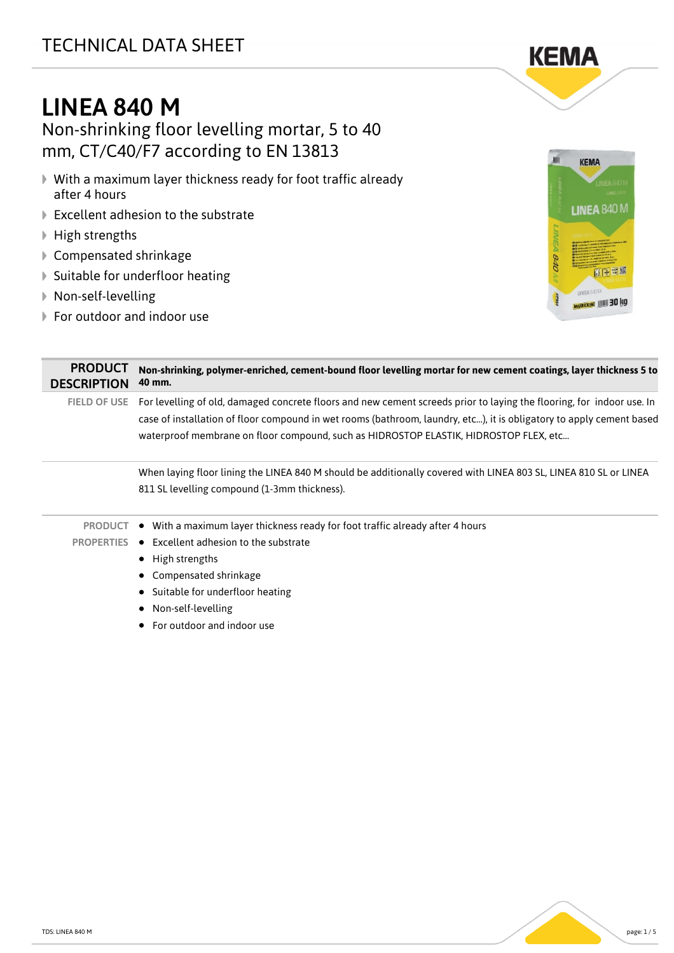## TECHNICAL DATA SHEET



# LINEA 840 M

Non-shrinking floor levelling mortar, 5 to 40 mm, CT/C40/F7 according to EN 13813

- With a maximum layer thickness ready for foot traffic already after 4 hours
- **▶ Excellent adhesion to the substrate**
- ▶ High strengths
- Compensated shrinkage
- ▶ Suitable for underfloor heating
- Non-self-levelling
- ▶ For outdoor and indoor use



| <b>PRODUCT</b><br><b>DESCRIPTION</b> | Non-shrinking, polymer-enriched, cement-bound floor levelling mortar for new cement coatings, layer thickness 5 to<br>40 mm.                                                                                                                                                                                                           |  |
|--------------------------------------|----------------------------------------------------------------------------------------------------------------------------------------------------------------------------------------------------------------------------------------------------------------------------------------------------------------------------------------|--|
| <b>FIELD OF USE</b>                  | For levelling of old, damaged concrete floors and new cement screeds prior to laying the flooring, for indoor use. In<br>case of installation of floor compound in wet rooms (bathroom, laundry, etc), it is obligatory to apply cement based<br>waterproof membrane on floor compound, such as HIDROSTOP ELASTIK, HIDROSTOP FLEX, etc |  |
|                                      | When laying floor lining the LINEA 840 M should be additionally covered with LINEA 803 SL, LINEA 810 SL or LINEA<br>811 SL levelling compound (1-3mm thickness).                                                                                                                                                                       |  |
| <b>PRODUCT</b><br><b>PROPERTIES</b>  | With a maximum layer thickness ready for foot traffic already after 4 hours<br>$\bullet$<br>Excellent adhesion to the substrate<br>$\bullet$<br>$\bullet$ High strengths<br>Compensated shrinkage<br>Suitable for underfloor heating<br>Non-self-levelling<br>For outdoor and indoor use                                               |  |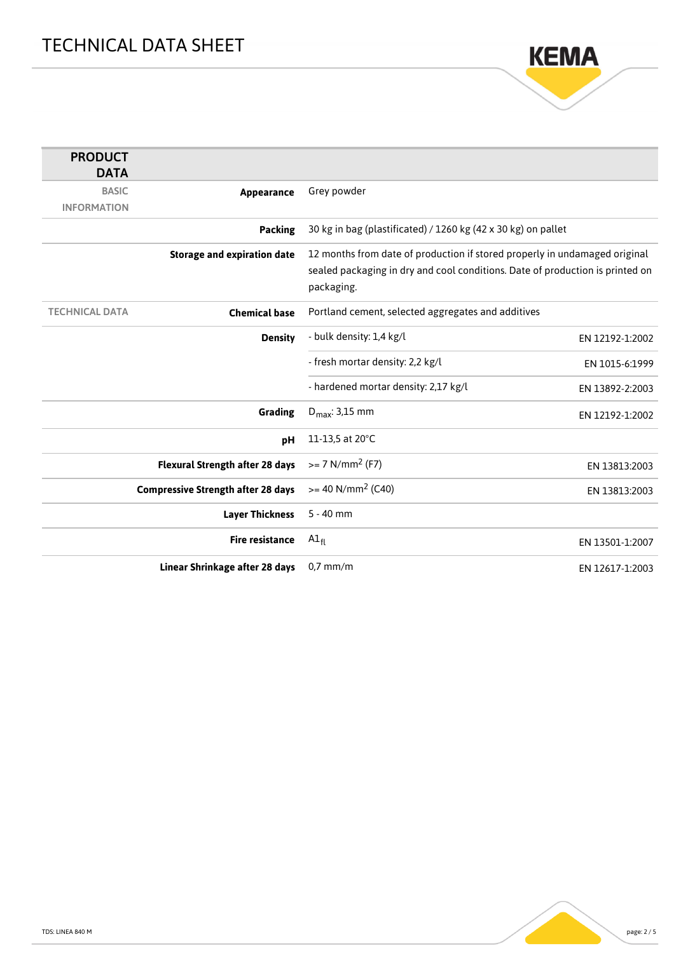

| <b>PRODUCT</b><br><b>DATA</b> |                                           |                                                                               |                 |
|-------------------------------|-------------------------------------------|-------------------------------------------------------------------------------|-----------------|
| <b>BASIC</b>                  | Appearance                                | Grey powder                                                                   |                 |
| <b>INFORMATION</b>            |                                           |                                                                               |                 |
|                               | <b>Packing</b>                            | 30 kg in bag (plastificated) / 1260 kg (42 x 30 kg) on pallet                 |                 |
|                               | <b>Storage and expiration date</b>        | 12 months from date of production if stored properly in undamaged original    |                 |
|                               |                                           | sealed packaging in dry and cool conditions. Date of production is printed on |                 |
|                               |                                           | packaging.                                                                    |                 |
| <b>TECHNICAL DATA</b>         | <b>Chemical base</b>                      | Portland cement, selected aggregates and additives                            |                 |
|                               | <b>Density</b>                            | - bulk density: 1,4 kg/l                                                      | EN 12192-1:2002 |
|                               |                                           | - fresh mortar density: 2,2 kg/l                                              | EN 1015-6:1999  |
|                               |                                           | - hardened mortar density: 2,17 kg/l                                          | EN 13892-2:2003 |
|                               | <b>Grading</b>                            | $D_{\text{max}}$ : 3,15 mm                                                    | EN 12192-1:2002 |
|                               | pH                                        | 11-13,5 at 20°C                                                               |                 |
|                               | <b>Flexural Strength after 28 days</b>    | $>= 7$ N/mm <sup>2</sup> (F7)                                                 | EN 13813:2003   |
|                               | <b>Compressive Strength after 28 days</b> | $>= 40$ N/mm <sup>2</sup> (C40)                                               | EN 13813:2003   |
|                               | <b>Layer Thickness</b>                    | $5 - 40$ mm                                                                   |                 |
|                               | <b>Fire resistance</b>                    | $AI_{fl}$                                                                     | EN 13501-1:2007 |
|                               | Linear Shrinkage after 28 days            | $0.7$ mm/m                                                                    | EN 12617-1:2003 |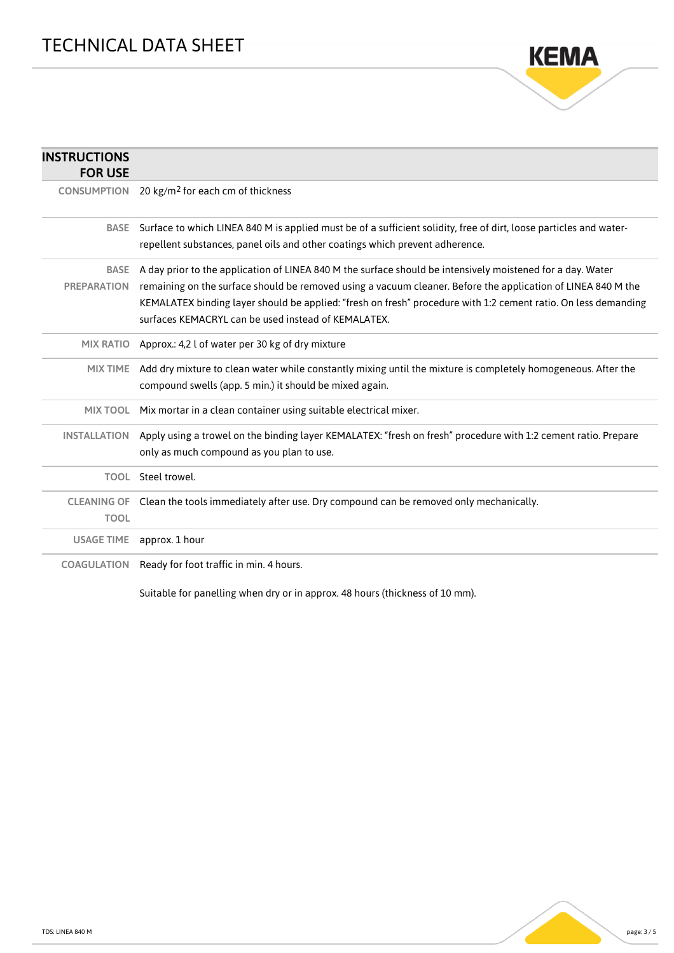

| <b>INSTRUCTIONS</b><br><b>FOR USE</b> |                                                                                                                                                                                                                                                                                                                                                                                                     |
|---------------------------------------|-----------------------------------------------------------------------------------------------------------------------------------------------------------------------------------------------------------------------------------------------------------------------------------------------------------------------------------------------------------------------------------------------------|
| <b>CONSUMPTION</b>                    | 20 kg/m <sup>2</sup> for each cm of thickness                                                                                                                                                                                                                                                                                                                                                       |
| <b>BASE</b>                           | Surface to which LINEA 840 M is applied must be of a sufficient solidity, free of dirt, loose particles and water-<br>repellent substances, panel oils and other coatings which prevent adherence.                                                                                                                                                                                                  |
| <b>BASE</b><br><b>PREPARATION</b>     | A day prior to the application of LINEA 840 M the surface should be intensively moistened for a day. Water<br>remaining on the surface should be removed using a vacuum cleaner. Before the application of LINEA 840 M the<br>KEMALATEX binding layer should be applied: "fresh on fresh" procedure with 1:2 cement ratio. On less demanding<br>surfaces KEMACRYL can be used instead of KEMALATEX. |
|                                       | MIX RATIO Approx.: 4,2 l of water per 30 kg of dry mixture                                                                                                                                                                                                                                                                                                                                          |
| <b>MIX TIME</b>                       | Add dry mixture to clean water while constantly mixing until the mixture is completely homogeneous. After the<br>compound swells (app. 5 min.) it should be mixed again.                                                                                                                                                                                                                            |
|                                       | MIX TOOL Mix mortar in a clean container using suitable electrical mixer.                                                                                                                                                                                                                                                                                                                           |
| <b>INSTALLATION</b>                   | Apply using a trowel on the binding layer KEMALATEX: "fresh on fresh" procedure with 1:2 cement ratio. Prepare<br>only as much compound as you plan to use.                                                                                                                                                                                                                                         |
|                                       | TOOL Steel trowel.                                                                                                                                                                                                                                                                                                                                                                                  |
| <b>TOOL</b>                           | CLEANING OF Clean the tools immediately after use. Dry compound can be removed only mechanically.                                                                                                                                                                                                                                                                                                   |
| <b>USAGE TIME</b>                     | approx. 1 hour                                                                                                                                                                                                                                                                                                                                                                                      |
| <b>COAGULATION</b>                    | Ready for foot traffic in min. 4 hours.                                                                                                                                                                                                                                                                                                                                                             |

Suitable for panelling when dry or in approx. 48 hours (thickness of 10 mm).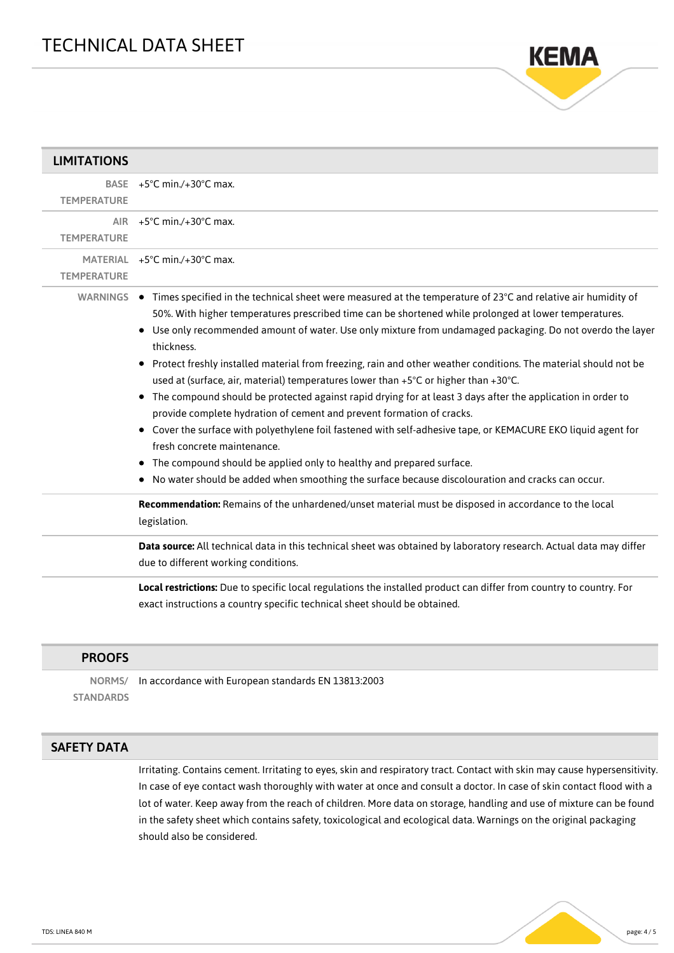

| <b>LIMITATIONS</b> |                                                                                                                                                                                                                                                                                                                                                                                                                                                                                                                                                                                                                                                                                                                                                                                                                                                                                                                                                                                                                                                                                                                     |
|--------------------|---------------------------------------------------------------------------------------------------------------------------------------------------------------------------------------------------------------------------------------------------------------------------------------------------------------------------------------------------------------------------------------------------------------------------------------------------------------------------------------------------------------------------------------------------------------------------------------------------------------------------------------------------------------------------------------------------------------------------------------------------------------------------------------------------------------------------------------------------------------------------------------------------------------------------------------------------------------------------------------------------------------------------------------------------------------------------------------------------------------------|
| <b>TEMPERATURE</b> | BASE $+5^{\circ}$ C min./+30 $^{\circ}$ C max.                                                                                                                                                                                                                                                                                                                                                                                                                                                                                                                                                                                                                                                                                                                                                                                                                                                                                                                                                                                                                                                                      |
| <b>TEMPERATURE</b> | AIR $+5^{\circ}$ C min./+30 $^{\circ}$ C max.                                                                                                                                                                                                                                                                                                                                                                                                                                                                                                                                                                                                                                                                                                                                                                                                                                                                                                                                                                                                                                                                       |
| <b>TEMPERATURE</b> | MATERIAL +5°C min./+30°C max.                                                                                                                                                                                                                                                                                                                                                                                                                                                                                                                                                                                                                                                                                                                                                                                                                                                                                                                                                                                                                                                                                       |
|                    | WARNINGS ● Times specified in the technical sheet were measured at the temperature of 23°C and relative air humidity of<br>50%. With higher temperatures prescribed time can be shortened while prolonged at lower temperatures.<br>• Use only recommended amount of water. Use only mixture from undamaged packaging. Do not overdo the layer<br>thickness.<br>• Protect freshly installed material from freezing, rain and other weather conditions. The material should not be<br>used at (surface, air, material) temperatures lower than +5°C or higher than +30°C.<br>The compound should be protected against rapid drying for at least 3 days after the application in order to<br>$\bullet$<br>provide complete hydration of cement and prevent formation of cracks.<br>Cover the surface with polyethylene foil fastened with self-adhesive tape, or KEMACURE EKO liquid agent for<br>٠<br>fresh concrete maintenance.<br>The compound should be applied only to healthy and prepared surface.<br>٠<br>• No water should be added when smoothing the surface because discolouration and cracks can occur. |
|                    | Recommendation: Remains of the unhardened/unset material must be disposed in accordance to the local<br>legislation.                                                                                                                                                                                                                                                                                                                                                                                                                                                                                                                                                                                                                                                                                                                                                                                                                                                                                                                                                                                                |
|                    | Data source: All technical data in this technical sheet was obtained by laboratory research. Actual data may differ<br>due to different working conditions.                                                                                                                                                                                                                                                                                                                                                                                                                                                                                                                                                                                                                                                                                                                                                                                                                                                                                                                                                         |
|                    | Local restrictions: Due to specific local regulations the installed product can differ from country to country. For<br>exact instructions a country specific technical sheet should be obtained.                                                                                                                                                                                                                                                                                                                                                                                                                                                                                                                                                                                                                                                                                                                                                                                                                                                                                                                    |

#### PROOFS

NORMS/ **STANDARDS** In accordance with European standards EN 13813:2003

#### SAFETY DATA

Irritating. Contains cement. Irritating to eyes, skin and respiratory tract. Contact with skin may cause hypersensitivity. In case of eye contact wash thoroughly with water at once and consult a doctor. In case of skin contact flood with a lot of water. Keep away from the reach of children. More data on storage, handling and use of mixture can be found in the safety sheet which contains safety, toxicological and ecological data. Warnings on the original packaging should also be considered.